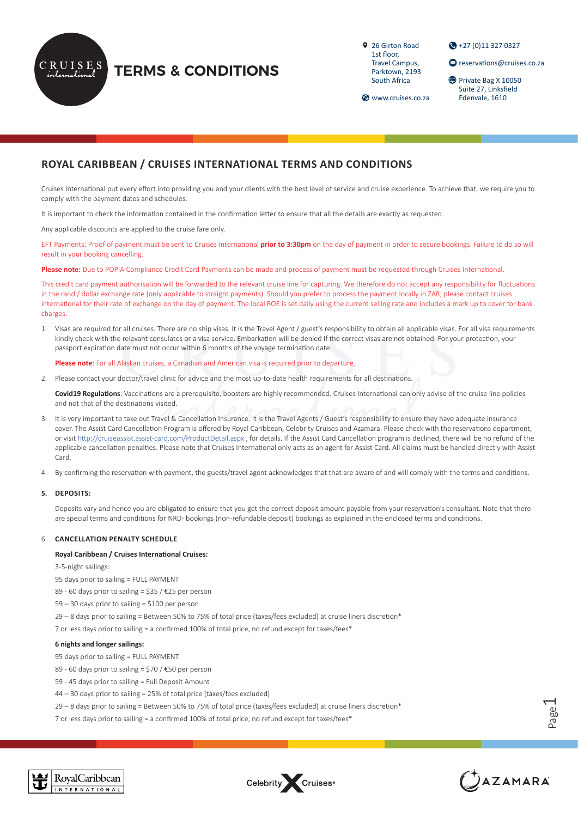

# **TERMS & CONDITIONS**

26 Girton Road 1st floor, Travel Campus, Parktown, 2193 South Africa

+27 (0)11 327 0327

**<sup>@</sup>** reservations@cruises.co.za

Private Bag X 10050 Suite 27, Linksfield Edenvale, 1610

**Www.cruises.co.za** 

# **ROYAL CARIBBEAN / CRUISES INTERNATIONAL TERMS AND CONDITIONS**

Cruises International put every effort into providing you and your clients with the best level of service and cruise experience. To achieve that, we require you to comply with the payment dates and schedules.

It is important to check the information contained in the confirmation letter to ensure that all the details are exactly as requested.

Any applicable discounts are applied to the cruise fare only.

EFT Payments: Proof of payment must be sent to Cruises International **prior to 3:30pm** on the day of payment in order to secure bookings. Failure to do so will result in your booking cancelling.

**Please note:** Due to POPIA Compliance Credit Card Payments can be made and process of payment must be requested through Cruises International.

This credit card payment authorisation will be forwarded to the relevant cruise line for capturing. We therefore do not accept any responsibility for fluctuations in the rand / dollar exchange rate (only applicable to straight payments). Should you prefer to process the payment locally in ZAR, please contact cruises international for their rate of exchange on the day of payment. The local ROE is set daily using the current selling rate and includes a mark up to cover for bank charges.

1. Visas are required for all cruises. There are no ship visas. It is the Travel Agent / guest's responsibility to obtain all applicable visas. For all visa requirements kindly check with the relevant consulates or a visa service. Embarkation will be denied if the correct visas are not obtained. For your protection, your passport expiration date must not occur within 6 months of the voyage termination date.

**Please note**: For all Alaskan cruises, a Canadian and American visa is required prior to departure.

2. Please contact your doctor/travel clinic for advice and the most up-to-date health requirements for all destinations.

**Covid19 Regulations**: Vaccinations are a prerequisite, boosters are highly recommended. Cruises International can only advise of the cruise line policies and not that of the destinations visited.

- 3. It is very important to take out Travel & Cancellation Insurance. It is the Travel Agents / Guest's responsibility to ensure they have adequate insurance cover. The Assist Card Cancellation Program is offered by Royal Caribbean, Celebrity Cruises and Azamara. Please check with the reservations department, or visit http://cruiseassist.assist-card.com/ProductDetail.aspx, for details. If the Assist Card Cancellation program is declined, there will be no refund of the applicable cancellation penalties. Please note that Cruises International only acts as an agent for Assist Card. All claims must be handled directly with Assist Card.
- 4. By confirming the reservation with payment, the guests/travel agent acknowledges that that are aware of and will comply with the terms and conditions.

# **5. DEPOSITS:**

Deposits vary and hence you are obligated to ensure that you get the correct deposit amount payable from your reservation's consultant. Note that there are special terms and conditions for NRD- bookings (non-refundable deposit) bookings as explained in the enclosed terms and conditions.

# 6. **CANCELLATION PENALTY SCHEDULE**

# **Royal Caribbean / Cruises International Cruises:**

3-5-night sailings:

95 days prior to sailing = FULL PAYMENT

89 - 60 days prior to sailing =  $$35 / $25$  per person

59 – 30 days prior to sailing = \$100 per person

29 – 8 days prior to sailing = Between 50% to 75% of total price (taxes/fees excluded) at cruise liners discretion\*

7 or less days prior to sailing = a confirmed 100% of total price, no refund except for taxes/fees\*

#### **6 nights and longer sailings:**

95 days prior to sailing = FULL PAYMENT

89 - 60 days prior to sailing =  $$70 / $50$  per person

59 - 45 days prior to sailing = Full Deposit Amount

- 44 30 days prior to sailing = 25% of total price (taxes/fees excluded)
- 29 8 days prior to sailing = Between 50% to 75% of total price (taxes/fees excluded) at cruise liners discretion\*

7 or less days prior to sailing = a confirmed 100% of total price, no refund except for taxes/fees\*





Page  $\overline{\phantom{0}}$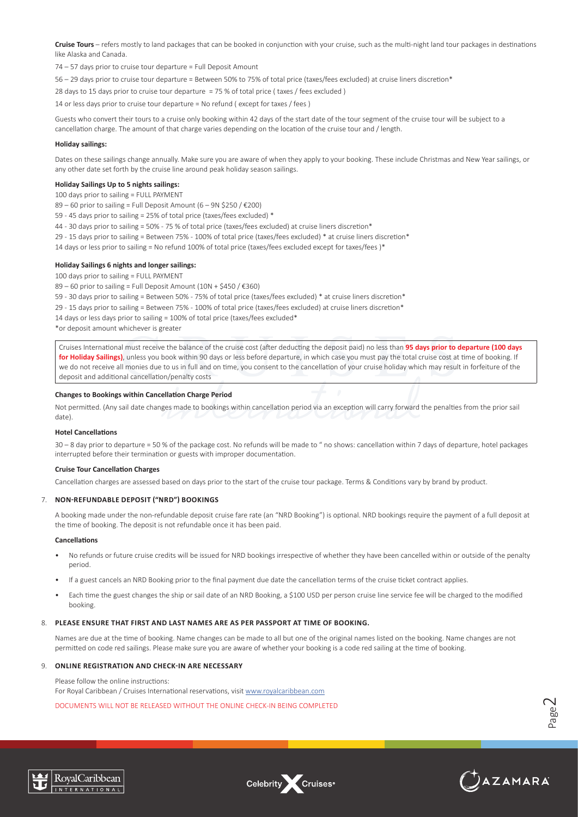**Cruise Tours** – refers mostly to land packages that can be booked in conjunction with your cruise, such as the multi-night land tour packages in destinations like Alaska and Canada.

74 – 57 days prior to cruise tour departure = Full Deposit Amount

56 – 29 days prior to cruise tour departure = Between 50% to 75% of total price (taxes/fees excluded) at cruise liners discretion\*

28 days to 15 days prior to cruise tour departure = 75 % of total price ( taxes / fees excluded )

14 or less days prior to cruise tour departure = No refund ( except for taxes / fees )

Guests who convert their tours to a cruise only booking within 42 days of the start date of the tour segment of the cruise tour will be subject to a cancellation charge. The amount of that charge varies depending on the location of the cruise tour and / length.

# **Holiday sailings:**

Dates on these sailings change annually. Make sure you are aware of when they apply to your booking. These include Christmas and New Year sailings, or any other date set forth by the cruise line around peak holiday season sailings.

#### **Holiday Sailings Up to 5 nights sailings:**

100 days prior to sailing = FULL PAYMENT

89 – 60 prior to sailing = Full Deposit Amount (6 – 9N \$250 /  $\epsilon$ 200)

59 - 45 days prior to sailing = 25% of total price (taxes/fees excluded) \*

44 - 30 days prior to sailing = 50% - 75 % of total price (taxes/fees excluded) at cruise liners discretion\*

29 - 15 days prior to sailing = Between 75% - 100% of total price (taxes/fees excluded) \* at cruise liners discretion\*

14 days or less prior to sailing = No refund 100% of total price (taxes/fees excluded except for taxes/fees )\*

# **Holiday Sailings 6 nights and longer sailings:**

100 days prior to sailing = FULL PAYMENT

89 – 60 prior to sailing = Full Deposit Amount (10N + \$450 /  $\epsilon$ 360)

59 - 30 days prior to sailing = Between 50% - 75% of total price (taxes/fees excluded) \* at cruise liners discretion\*

29 - 15 days prior to sailing = Between 75% - 100% of total price (taxes/fees excluded) at cruise liners discretion\*

14 days or less days prior to sailing = 100% of total price (taxes/fees excluded\*

\*or deposit amount whichever is greater

Cruises International must receive the balance of the cruise cost (after deducting the deposit paid) no less than **95 days prior to departure (100 days for Holiday Sailings)**, unless you book within 90 days or less before departure, in which case you must pay the total cruise cost at time of booking. If we do not receive all monies due to us in full and on time, you consent to the cancellation of your cruise holiday which may result in forfeiture of the deposit and additional cancellation/penalty costs

# **Changes to Bookings within Cancellation Charge Period**

Not permitted. (Any sail date changes made to bookings within cancellation period via an exception will carry forward the penalties from the prior sail date).

#### **Hotel Cancellations**

30 – 8 day prior to departure = 50 % of the package cost. No refunds will be made to " no shows: cancellation within 7 days of departure, hotel packages interrupted before their termination or guests with improper documentation.

#### **Cruise Tour Cancellation Charges**

Cancellation charges are assessed based on days prior to the start of the cruise tour package. Terms & Conditions vary by brand by product.

#### 7. **NON-REFUNDABLE DEPOSIT ("NRD") BOOKINGS**

A booking made under the non-refundable deposit cruise fare rate (an "NRD Booking") is optional. NRD bookings require the payment of a full deposit at the time of booking. The deposit is not refundable once it has been paid.

#### **Cancellations**

- No refunds or future cruise credits will be issued for NRD bookings irrespective of whether they have been cancelled within or outside of the penalty period.
- If a guest cancels an NRD Booking prior to the final payment due date the cancellation terms of the cruise ticket contract applies.
- Each time the guest changes the ship or sail date of an NRD Booking, a \$100 USD per person cruise line service fee will be charged to the modified booking.

#### 8. **PLEASE ENSURE THAT FIRST AND LAST NAMES ARE AS PER PASSPORT AT TIME OF BOOKING.**

Names are due at the time of booking. Name changes can be made to all but one of the original names listed on the booking. Name changes are not permitted on code red sailings. Please make sure you are aware of whether your booking is a code red sailing at the time of booking.

# 9. **ONLINE REGISTRATION AND CHECK-IN ARE NECESSARY**

Please follow the online instructions: For Royal Caribbean / Cruises International reservations, visit www.royalcaribbean.com

DOCUMENTS WILL NOT BE RELEASED WITHOUT THE ONLINE CHECK-IN BEING COMPLETED





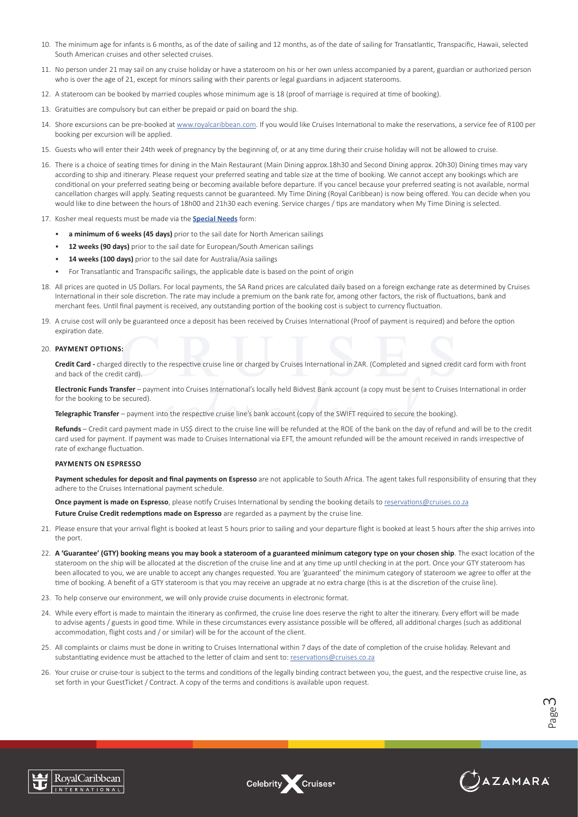- 10. The minimum age for infants is 6 months, as of the date of sailing and 12 months, as of the date of sailing for Transatlantic, Transpacific, Hawaii, selected South American cruises and other selected cruises.
- 11. No person under 21 may sail on any cruise holiday or have a stateroom on his or her own unless accompanied by a parent, guardian or authorized person who is over the age of 21, except for minors sailing with their parents or legal guardians in adjacent staterooms.
- 12. A stateroom can be booked by married couples whose minimum age is 18 (proof of marriage is required at time of booking).
- 13. Gratuities are compulsory but can either be prepaid or paid on board the ship.
- 14. Shore excursions can be pre-booked at www.royalcaribbean.com. If you would like Cruises International to make the reservations, a service fee of R100 per booking per excursion will be applied.
- 15. Guests who will enter their 24th week of pregnancy by the beginning of, or at any time during their cruise holiday will not be allowed to cruise.
- 16. There is a choice of seating times for dining in the Main Restaurant (Main Dining approx.18h30 and Second Dining approx. 20h30) Dining times may vary according to ship and itinerary. Please request your preferred seating and table size at the time of booking. We cannot accept any bookings which are conditional on your preferred seating being or becoming available before departure. If you cancel because your preferred seating is not available, normal cancellation charges will apply. Seating requests cannot be guaranteed. My Time Dining (Royal Caribbean) is now being offered. You can decide when you would like to dine between the hours of 18h00 and 21h30 each evening. Service charges / tips are mandatory when My Time Dining is selected.
- 17. Kosher meal requests must be made via the **Special Needs** form:
	- **a minimum of 6 weeks (45 days)** prior to the sail date for North American sailings
	- **12 weeks (90 days)** prior to the sail date for European/South American sailings
	- **14 weeks (100 days)** prior to the sail date for Australia/Asia sailings
	- For Transatlantic and Transpacific sailings, the applicable date is based on the point of origin
- 18. All prices are quoted in US Dollars. For local payments, the SA Rand prices are calculated daily based on a foreign exchange rate as determined by Cruises International in their sole discretion. The rate may include a premium on the bank rate for, among other factors, the risk of fluctuations, bank and merchant fees. Until final payment is received, any outstanding portion of the booking cost is subject to currency fluctuation.
- 19. A cruise cost will only be guaranteed once a deposit has been received by Cruises International (Proof of payment is required) and before the option expiration date.

#### 20. **PAYMENT OPTIONS:**

**Credit Card -** charged directly to the respective cruise line or charged by Cruises International in ZAR. (Completed and signed credit card form with front and back of the credit card).

**Electronic Funds Transfer** – payment into Cruises International's locally held Bidvest Bank account (a copy must be sent to Cruises International in order for the booking to be secured).

**Telegraphic Transfer** – payment into the respective cruise line's bank account (copy of the SWIFT required to secure the booking).

**Refunds** – Credit card payment made in US\$ direct to the cruise line will be refunded at the ROE of the bank on the day of refund and will be to the credit card used for payment. If payment was made to Cruises International via EFT, the amount refunded will be the amount received in rands irrespective of rate of exchange fluctuation.

# **PAYMENTS ON ESPRESSO**

**Payment schedules for deposit and final payments on Espresso** are not applicable to South Africa. The agent takes full responsibility of ensuring that they adhere to the Cruises International payment schedule.

**Once payment is made on Espresso**, please notify Cruises International by sending the booking details to reservations@cruises.co.za **Future Cruise Credit redemptions made on Espresso** are regarded as a payment by the cruise line.

- 21. Please ensure that your arrival flight is booked at least 5 hours prior to sailing and your departure flight is booked at least 5 hours after the ship arrives into the port.
- 22. A 'Guarantee' (GTY) booking means you may book a stateroom of a guaranteed minimum category type on your chosen ship. The exact location of the stateroom on the ship will be allocated at the discretion of the cruise line and at any time up until checking in at the port. Once your GTY stateroom has been allocated to you, we are unable to accept any changes requested. You are 'guaranteed' the minimum category of stateroom we agree to offer at the time of booking. A benefit of a GTY stateroom is that you may receive an upgrade at no extra charge (this is at the discretion of the cruise line).
- 23. To help conserve our environment, we will only provide cruise documents in electronic format.
- 24. While every effort is made to maintain the itinerary as confirmed, the cruise line does reserve the right to alter the itinerary. Every effort will be made to advise agents / guests in good time. While in these circumstances every assistance possible will be offered, all additional charges (such as additional accommodation, flight costs and / or similar) will be for the account of the client.
- 25. All complaints or claims must be done in writing to Cruises International within 7 days of the date of completion of the cruise holiday. Relevant and substantiating evidence must be attached to the letter of claim and sent to: reservations@cruises.co.za
- 26. Your cruise or cruise-tour is subject to the terms and conditions of the legally binding contract between you, the guest, and the respective cruise line, as set forth in your GuestTicket / Contract. A copy of the terms and conditions is available upon request.